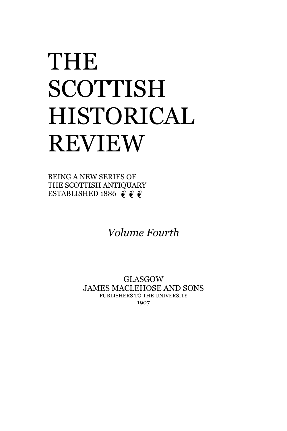## THE SCOTTISH HISTORICAL REVIEW

BEING A NEW SERIES OF THE SCOTTISH ANTIQUARY ESTABLISHED 1886  $\vec{\ell}$   $\vec{\ell}$ 

*Volume Fourth*

GLASGOW JAMES MACLEHOSE AND SONS PUBLISHERS TO THE UNIVERSITY 1907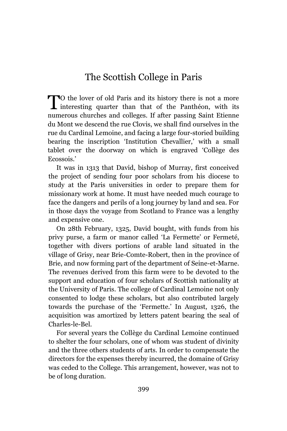## The Scottish College in Paris

To the lover of old Paris and its history there is not a more TO the lover of old Paris and its history there is not a more interesting quarter than that of the Panthéon, with its numerous churches and colleges. If after passing Saint Etienne du Mont we descend the rue Clovis, we shall find ourselves in the rue du Cardinal Lemoine, and facing a large four-storied building bearing the inscription 'Institution Chevallier,' with a small tablet over the doorway on which is engraved 'Collège des Ecossois.'

It was in 1313 that David, bishop of Murray, first conceived the project of sending four poor scholars from his diocese to study at the Paris universities in order to prepare them for missionary work at home. It must have needed much courage to face the dangers and perils of a long journey by land and sea. For in those days the voyage from Scotland to France was a lengthy and expensive one.

On 28th February, 1325, David bought, with funds from his privy purse, a farm or manor called 'La Fermette' or Fermeté, together with divers portions of arable land situated in the village of Grisy, near Brie-Comte-Robert, then in the province of Brie, and now forming part of the department of Seine-et-Marne. The revenues derived from this farm were to be devoted to the support and education of four scholars of Scottish nationality at the University of Paris. The college of Cardinal Lemoine not only consented to lodge these scholars, but also contributed largely towards the purchase of the 'Fermette.' In August, 1326, the acquisition was amortized by letters patent bearing the seal of Charles-le-Bel.

For several years the Collège du Cardinal Lemoine continued to shelter the four scholars, one of whom was student of divinity and the three others students of arts. In order to compensate the directors for the expenses thereby incurred, the domaine of Grisy was ceded to the College. This arrangement, however, was not to be of long duration.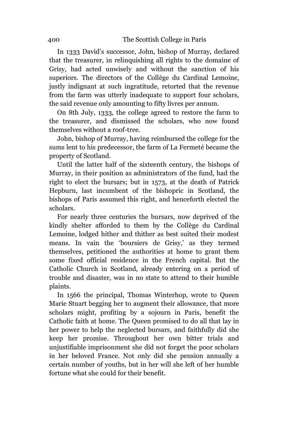In 1333 David's successor, John, bishop of Murray, declared that the treasurer, in relinquishing all rights to the domaine of Grisy, had acted unwisely and without the sanction of his superiors. The directors of the Collège du Cardinal Lemoine, justly indignant at such ingratitude, retorted that the revenue from the farm was utterly inadequate to support four scholars, the said revenue only amounting to fifty livres per annum.

On 8th July, 1333, the college agreed to restore the farm to the treasurer, and dismissed the scholars, who now found themselves without a roof-tree.

John, bishop of Murray, having reimbursed the college for the sums lent to his predecessor, the farm of La Fermeté became the property of Scotland.

Until the latter half of the sixteenth century, the bishops of Murray, in their position as administrators of the fund, had the right to elect the bursars; but in 1573, at the death of Patrick Hepburn, last incumbent of the bishopric in Scotland, the bishops of Paris assumed this right, and henceforth elected the scholars.

For nearly three centuries the bursars, now deprived of the kindly shelter afforded to them by the Collège du Cardinal Lemoine, lodged hither and thither as best suited their modest means. In vain the 'boursiers de Grisy,' as they termed themselves, petitioned the authorities at home to grant them some fixed official residence in the French capital. But the Catholic Church in Scotland, already entering on a period of trouble and disaster, was in no state to attend to their humble plaints.

In 1566 the principal, Thomas Winterhop, wrote to Queen Marie Stuart begging her to augment their allowance, that more scholars might, profiting by a sojourn in Paris, benefit the Catholic faith at home. The Queen promised to do all that lay in her power to help the neglected bursars, and faithfully did she keep her promise. Throughout her own bitter trials and unjustifiable imprisonment she did not forget the poor scholars in her beloved France. Not only did she pension annually a certain number of youths, but in her will she left of her humble fortune what she could for their benefit.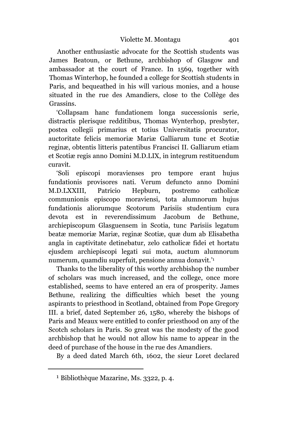Another enthusiastic advocate for the Scottish students was James Beatoun, or Bethune, archbishop of Glasgow and ambassador at the court of France. In 1569, together with Thomas Winterhop, he founded a college for Scottish students in Paris, and bequeathed in his will various monies, and a house situated in the rue des Amandiers, close to the Collège des Grassins.

'Collapsam hanc fundationem longa successionis serie, distractis plerisque redditibus, Thomas Wynterhop, presbyter, postea collegii primarius et totius Universitatis procurator, auctoritate felicis memoriæ Mariæ Galliarum tunc et Scotiæ reginæ, obtentis litteris patentibus Francisci II. Galliarum etiam et Scotiæ regis anno Domini M.D.LIX, in integrum restituendum curavit.

'Soli episcopi moravienses pro tempore erant hujus fundationis provisores nati. Verum defuncto anno Domini M.D.LXXIII, Patricio Hepburn, postremo catholicæ communionis episcopo moraviensi, tota alumnorum hujus fundationis aliorumque Scotorum Parisiis studentium cura devota est in reverendissimum Jacobum de Bethune, archiepiscopum Glasguensem in Scotia, tunc Parisiis legatum beatæ memoriæ Mariæ, reginæ Scotiæ, quæ dum ab Elisabetha angla in captivitate detinebatur, zelo catholicæ fidei et hortatu ejusdem archiepiscopi legati sui mota, auctum alumnorum numerum, quamdiu superfuit, pensione annua donavit.' 1

Thanks to the liberality of this worthy archbishop the number of scholars was much increased, and the college, once more established, seems to have entered an era of prosperity. James Bethune, realizing the difficulties which beset the young aspirants to priesthood in Scotland, obtained from Pope Gregory III. a brief, dated September 26, 1580, whereby the bishops of Paris and Meaux were entitled to confer priesthood on any of the Scotch scholars in Paris. So great was the modesty of the good archbishop that he would not allow his name to appear in the deed of purchase of the house in the rue des Amandiers.

By a deed dated March 6th, 1602, the sieur Loret declared

<sup>1</sup> Bibliothèque Mazarine, Ms. 3322, p. 4.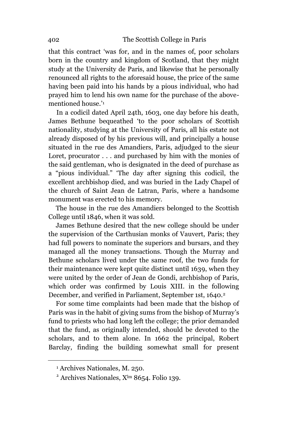that this contract 'was for, and in the names of, poor scholars born in the country and kingdom of Scotland, that they might study at the University de Paris, and likewise that he personally renounced all rights to the aforesaid house, the price of the same having been paid into his hands by a pious individual, who had prayed him to lend his own name for the purchase of the abovementioned house.' 1

In a codicil dated April 24th, 1603, one day before his death, James Bethune bequeathed 'to the poor scholars of Scottish nationality, studying at the University of Paris, all his estate not already disposed of by his previous will, and principally a house situated in the rue des Amandiers, Paris, adjudged to the sieur Loret, procurator . . . and purchased by him with the monies of the said gentleman, who is designated in the deed of purchase as a "pious individual." 'The day after signing this codicil, the excellent archbishop died, and was buried in the Lady Chapel of the church of Saint Jean de Latran, Paris, where a handsome monument was erected to his memory.

The house in the rue des Amandiers belonged to the Scottish College until 1846, when it was sold.

James Bethune desired that the new college should be under the supervision of the Carthusian monks of Vauvert, Paris; they had full powers to nominate the superiors and bursars, and they managed all the money transactions. Though the Murray and Bethune scholars lived under the same roof, the two funds for their maintenance were kept quite distinct until 1639, when they were united by the order of Jean de Gondi, archbishop of Paris, which order was confirmed by Louis XIII. in the following December, and verified in Parliament, September 1st, 1640.<sup>2</sup>

For some time complaints had been made that the bishop of Paris was in the habit of giving sums from the bishop of Murray's fund to priests who had long left the college; the prior demanded that the fund, as originally intended, should be devoted to the scholars, and to them alone. In 1662 the principal, Robert Barclay, finding the building somewhat small for present

<sup>1</sup> Archives Nationales, M. 250.

<sup>&</sup>lt;sup>2</sup> Archives Nationales, X<sup>Im</sup> 8654. Folio 139.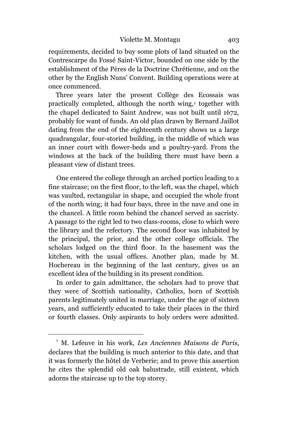requirements, decided to buy some plots of land situated on the Contrescarpe du Fossé Saint-Victor, bounded on one side by the establishment of the Pères de la Doctrine Chrétienne, and on the other by the English Nuns' Convent. Building operations were at once commenced.

Three years later the present Collège des Ecossais was practically completed, although the north wing,<sup>1</sup> together with the chapel dedicated to Saint Andrew, was not built until 1672, probably for want of funds. An old plan drawn by Bernard Jaillot dating from the end of the eighteenth century shows us a large quadrangular, four-storied building, in the middle of which was an inner court with flower-beds and a poultry-yard. From the windows at the back of the building there must have been a pleasant view of distant trees.

One entered the college through an arched portico leading to a fine staircase; on the first floor, to the left, was the chapel, which was vaulted, rectangular in shape, and occupied the whole front of the north wing; it had four bays, three in the nave and one in the chancel. A little room behind the chancel served as sacristy. A passage to the right led to two class-rooms, close to which were the library and the refectory. The second floor was inhabited by the principal, the prior, and the other college officials. The scholars lodged on the third floor. In the basement was the kitchen, with the usual offices. Another plan, made by M. Hochereau in the beginning of the last century, gives us an excellent idea of the building in its present condition.

In order to gain admittance, the scholars had to prove that they were of Scottish nationality, *C*atholics, born of Scottish parents legitimately united in marriage, under the age of sixteen years, and sufficiently educated to take their places in the third or fourth classes. Only aspirants to holy orders were admitted.

<sup>1</sup> M. Lefeuve in his work, *Les Anciennes Maisons de Paris*, declares that the building is much anterior to this date, and that it was formerly the hôtel de Verberie; and to prove this assertion he cites the splendid old oak balustrade, still existent, which adorns the staircase up to the top storey.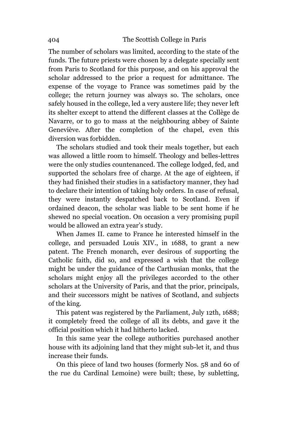The number of scholars was limited, according to the state of the funds. The future priests were chosen by a delegate specially sent from Paris to Scotland for this purpose, and on his approval the scholar addressed to the prior a request for admittance. The expense of the voyage to France was sometimes paid by the college; the return journey was always so. The scholars, once safely housed in the college, led a very austere life; they never left its shelter except to attend the different classes at the Collège de Navarre, or to go to mass at the neighbouring abbey of Sainte Geneviève. After the completion of the chapel, even this diversion was forbidden.

The scholars studied and took their meals together, but each was allowed a little room to himself. Theology and belles-lettres were the only studies countenanced. The college lodged, fed, and supported the scholars free of charge. At the age of eighteen, if they had finished their studies in a satisfactory manner, they had to declare their intention of taking holy orders. In case of refusal, they were instantly despatched back to Scotland. Even if ordained deacon, the scholar was liable to be sent home if he shewed no special vocation. On occasion a very promising pupil would be allowed an extra year's study.

When James II. came to France he interested himself in the college, and persuaded Louis XIV., in 1688, to grant a new patent. The French monarch, ever desirous of supporting the Catholic faith, did so, and expressed a wish that the college might be under the guidance of the Carthusian monks, that the scholars might enjoy all the privileges accorded to the other scholars at the University of Paris, and that the prior, principals, and their successors might be natives of Scotland, and subjects of the king.

This patent was registered by the Parliament, July 12th, 1688; it completely freed the college of all its debts, and gave it the official position which it had hitherto lacked.

In this same year the college authorities purchased another house with its adjoining land that they might sub-let it, and thus increase their funds.

On this piece of land two houses (formerly Nos. 58 and 60 of the rue du Cardinal Lemoine) were built; these, by subletting,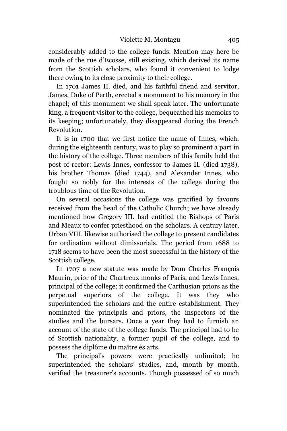considerably added to the college funds. Mention may here be made of the rue d'Ecosse, still existing, which derived its name from the Scottish scholars, who found it convenient to lodge there owing to its close proximity to their college.

In 1701 James II. died, and his faithful friend and servitor, James, Duke of Perth, erected a monument to his memory in the chapel; of this monument we shall speak later. The unfortunate king, a frequent visitor to the college, bequeathed his memoirs to its keeping; unfortunately, they disappeared during the French Revolution.

It is in 1700 that we first notice the name of Innes, which, during the eighteenth century, was to play so prominent a part in the history of the college. Three members of this family held the post of rector: Lewis Innes, confessor to James II. (died 1738), his brother Thomas (died 1744), and Alexander Innes, who fought so nobly for the interests of the college during the troublous time of the Revolution.

On several occasions the college was gratified by favours received from the head of the Catholic Church; we have already mentioned how Gregory III. had entitled the Bishops of Paris and Meaux to confer priesthood on the scholars. A century later, Urban VIII. likewise authorised the college to present candidates for ordination without dimissorials. The period from 1688 to 1718 seems to have been the most successful in the history of the Scottish college.

In 1707 a new statute was made by Dom Charles François Maurin, prior of the Chartreux monks of Paris, and Lewis Innes, principal of the college; it confirmed the Carthusian priors as the perpetual superiors of the college. It was they who superintended the scholars and the entire establishment. They nominated the principals and priors, the inspectors of the studies and the bursars. Once a year they had to furnish an account of the state of the college funds. The principal had to be of Scottish nationality, a former pupil of the college, and to possess the diplôme du maître ès arts.

The principal's powers were practically unlimited; he superintended the scholars' studies, and, month by month, verified the treasurer's accounts. Though possessed of so much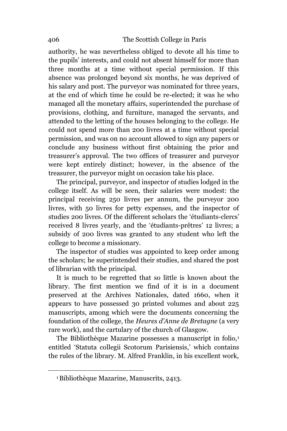authority, he was nevertheless obliged to devote all his time to the pupils' interests, and could not absent himself for more than three months at a time without special permission. If this absence was prolonged beyond six months, he was deprived of his salary and post. The purveyor was nominated for three years, at the end of which time he could be re-elected; it was he who managed all the monetary affairs, superintended the purchase of provisions, clothing, and furniture, managed the servants, and attended to the letting of the houses belonging to the college. He could not spend more than 200 livres at a time without special permission, and was on no account allowed to sign any papers or conclude any business without first obtaining the prior and treasurer's approval. The two offices of treasurer and purveyor were kept entirely distinct; however, in the absence of the treasurer, the purveyor might on occasion take his place.

The principal, purveyor, and inspector of studies lodged in the college itself. As will be seen, their salaries were modest: the principal receiving 250 livres per annum, the purveyor 200 livres, with 50 livres for petty expenses, and the inspector of studies 200 livres. Of the different scholars the 'étudiants-clercs' received 8 livres yearly, and the 'étudiants-prêtres' 12 livres; a subsidy of 200 livres was granted to any student who left the college to become a missionary.

The inspector of studies was appointed to keep order among the scholars; he superintended their studies, and shared the post of librarian with the principal.

It is much to be regretted that so little is known about the library. The first mention we find of it is in a document preserved at the Archives Nationales, dated 1660, when it appears to have possessed 30 printed volumes and about 225 manuscripts, among which were the documents concerning the foundation of the college, the *Heures d'Anne de Bretagne* (a very rare work), and the cartulary of the church of Glasgow.

The Bibliothèque Mazarine possesses a manuscript in folio,<sup>1</sup> entitled 'Statuta collegii Scotorum Parisiensis,' which contains the rules of the library. M. Alfred Franklin, in his excellent work,

<sup>1</sup>Bibliothèque Mazarine, Manuscrits, 2413.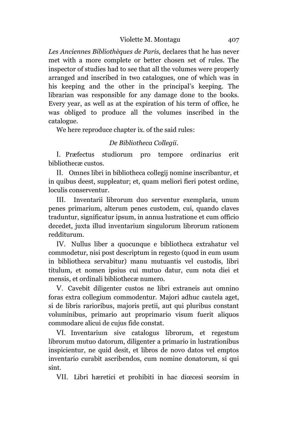## Violette M. Montagu 407

*Les Anciennes Bibliothèques de Paris,* declares that he has never met with a more complete or better chosen set of rules. The inspector of studies had to see that all the volumes were properly arranged and inscribed in two catalogues, one of which was in his keeping and the other in the principal's keeping. The librarian was responsible for any damage done to the books. Every year, as well as at the expiration of his term of office, he was obliged to produce all the volumes inscribed in the catalogue.

We here reproduce chapter ix. of the said rules:

## *De Bibliotheca Collegii*.

I. Præfectus studiorum pro tempore ordinarius erit bibliothecæ custos.

II. Omnes libri in bibliotheca collegij nomine inscribantur, et in quibus deest, suppleatur; et, quam meliori fieri potest ordine, loculis conserventur.

III. Inventarii librorum duo serventur exemplaria, unum penes primarium, alterum penes custodem, cui, quando claves traduntur, significatur ipsum, in annua lustratione et cum officio decedet, juxta illud inventarium singulorum librorum rationem redditurum.

IV. Nullus liber a quocunque e bibliotheca extrahatur vel commodetur, nisi post descriptum in regesto (quod in eum usum in bibliotheca servabitur) manu mutuantis vel custodis, libri titulum, et nomen ipsius cui mutuo datur, cum nota diei et mensis, et ordinali bibliothecæ numero.

V. Cavebit diligenter custos ne libri extraneis aut omnino foras extra collegium commodentur. Majori adhuc cautela aget, si de libris rarioribus, majoris pretii, aut qui pluribus constant voluminibus, primario aut proprimario visum fuerit aliquos commodare alicui de cujus fide constat.

VI. Inventarium sive catalogus librorum, et regestum librorum mutuo datorum, diligenter a primario in lustrationibus inspicientur, ne quid desit, et libros de novo datos vel emptos inventari*o* curabit ascribendos, cum nomine donatorum, si qui sint.

VII. Libri hæretici et prohibiti in hac diœcesi seorsim in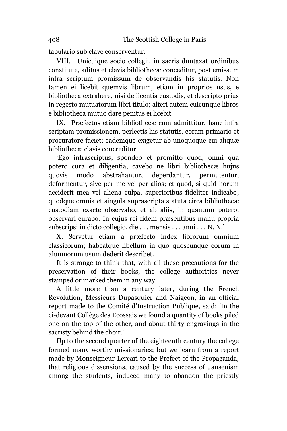tabulario sub clave conserventur.

VIII. Unicuique socio collegii, in sacris duntaxat ordinibus constitute, aditus et clavis bibliothecæ conceditur, post emissum infra scriptum promissum de observandis his statutis. Non tamen ei licebit quemvis librum, etiam in proprios usus, e bibliotheca extrahere, nisi de licentia custodis, et descripto prius in regesto mutuatorum libri titulo; alteri autem cuicunque libros e bibliotheca mutuo dare penitus ei licebit.

IX. Præfectus etiam bibliothecæ cum admittitur, hanc infra scriptam promissionem, perlectis his statutis, coram primario et procuratore faciet; eademque exigetur ab unoquoque cui aliquæ bibliothecæ clavis concreditur.

'Ego infrascriptus, spondeo et promitto quod, omni qua potero cura et diligentia, cavebo ne libri bibliothecæ hujus quovis modo abstrahantur, deperdantur, permutentur, deformentur, sive per me vel per alios; et quod, si quid horum acciderit mea vel aliena culpa, superioribus fideliter indicabo; quodque omnia et singula suprascripta statuta circa bibliothecæ custodiam exacte observabo, et ab aliis, in quantum potero, observari curabo. In cujus rei fidem præsentibus manu propria subscripsi in dicto collegio, die . . . mensis . . . anni . . . N. N.'

X. Servetur etiam a præfecto index librorum omnium classicorum; habeatque libellum in quo quoscunque eorum in alumnorum usum dederit describet.

It is strange to think that, with all these precautions for the preservation of their books, the college authorities never stamped or marked them in any way.

A little more than a century later, during the French Revolution, Messieurs Dupasquier and Naigeon, in an official report made to the Comité d'Instruction Publique, said: 'In the ci-devant Collège des Ecossais we found a quantity of books piled one on the top of the other, and about thirty engravings in the sacristy behind the choir.'

Up to the second quarter of the eighteenth century the college formed many worthy missionaries; but we learn from a report made by Monseigneur Lercari to the Prefect of the Propaganda, that religious dissensions, caused by the success of Jansenism among the students, induced many to abandon the priestly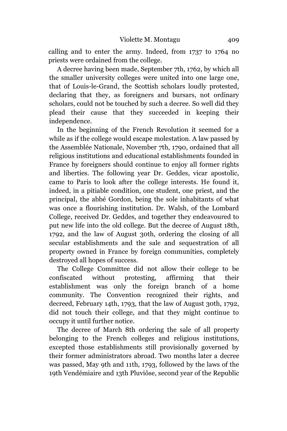calling and to enter the army. Indeed, from 1737 to 1764 no priests were ordained from the college.

A decree having been made, September 7th, 1762, by which all the smaller university colleges were united into one large one, that of Louis-le-Grand, the Scottish scholars loudly protested, declaring that they, as foreigners and bursars, not ordinary scholars, could not be touched by such a decree. So well did they plead their cause that they succeeded in keeping their independence.

In the beginning of the French Revolution it seemed for a while as if the college would escape molestation. A law passed by the Assemblée Nationale, November 7th, 1790, ordained that all religious institutions and educational establishments founded in France by foreigners should continue to enjoy all former rights and liberties. The following year Dr. Geddes, vicar apostolic, came to Paris to look after the college interests. He found it, indeed, in a pitiable condition, one student, one priest, and the principal, the abbé Gordon, being the sole inhabitants of what was once a flourishing institution. Dr. Walsh, of the Lombard College, received Dr. Geddes, and together they endeavoured to put new life into the old college. But the decree of August 18th, 1792, and the law of August 30th, ordering the closing of all secular establishments and the sale and sequestration of all property owned in France by foreign communities, completely destroyed all hopes of success.

The College Committee did not allow their college to be confiscated without protesting, affirming that their establishment was only the foreign branch of a home community. The Convention recognized their rights, and decreed, February 14th, 1793, that the law of August 30th, 1792, did not touch their college, and that they might continue to occupy it until further notice.

The decree of March 8th ordering the sale of all property belonging to the French colleges and religious institutions, excepted those establishments still provisionally governed by their former administrators abroad. Two months later a decree was passed, May 9th and 11th, 1793, followed by the laws of the 19th Vendémiaire and 13th Pluviôse, second year of the Republic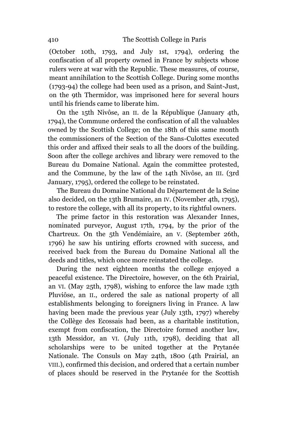(October 10th, 1793, and July 1st, 1794), ordering the confiscation of all property owned in France by subjects whose rulers were at war with the Republic. These measures, of course, meant annihilation to the Scottish College. During some months (1793-94) the college had been used as a prison, and Saint-Just, on the 9th Thermidor, was imprisoned here for several hours until his friends came to liberate him.

On the 15th Nivôse, an II. de la République (January 4th, 1794), the Commune ordered the confiscation of all the valuables owned by the Scottish College; on the 18th of this same month the commissioners of the Section of the Sans-Culottes executed this order and affixed their seals to all the doors of the building. Soon after the college archives and library were removed to the Bureau du Domaine National. Again the committee protested, and the Commune, by the law of the 14th Nivôse, an III. (3rd January, 1795), ordered the college to be reinstated.

The Bureau du Domaine National du Département de la Seine also decided, on the 13th Brumaire, an IV. (November 4th, 1795), to restore the college, with all its property, to its rightful owners.

The prime factor in this restoration was Alexander Innes, nominated purveyor, August 17th, 1794, by the prior of the Chartreux. On the 5th Vendémiaire, an V. (September 26th, 1796) he saw his untiring efforts crowned with success, and received back from the Bureau du Domaine National all the deeds and titles, which once more reinstated the college.

During the next eighteen months the college enjoyed a peaceful existence. The Directoire, however, on the 6th Prairial, an VI. (May 25th, 1798), wishing to enforce the law made 13th Pluviôse, an II., ordered the sale as national property of all establishments belonging to foreigners living in France. A law having been made the previous year (July 13th, 1797) whereby the Collège des Ecossais had been, as a charitable institution, exempt from confiscation, the Directoire formed another law, 13th Messidor, an VI. (July 11th, 1798), deciding that all scholarships were to be united together at the Prytanée Nationale. The Consuls on May 24th, 1800 (4th Prairial, an VIII.), confirmed this decision, and ordered that a certain number of places should be reserved in the Prytanée for the Scottish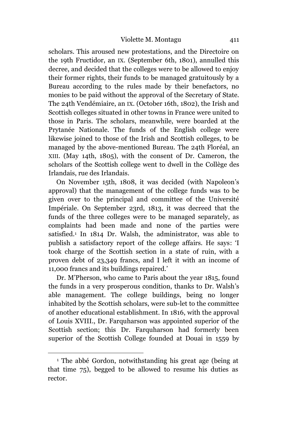scholars. This aroused new protestations, and the Directoire on the 19th Fructidor, an IX. (September 6th, 1801), annulled this decree, and decided that the colleges were to be allowed to enjoy their former rights, their funds to be managed gratuitously by a Bureau according to the rules made by their benefactors, no monies to be paid without the approval of the Secretary of State. The 24th Vendémiaire, an IX. (October 16th, 1802), the Irish and Scottish colleges situated in other towns in France were united to those in Paris. The scholars, meanwhile, were boarded at the Prytanée Nationale. The funds of the English college were likewise joined to those of the Irish and Scottish colleges, to be managed by the above-mentioned Bureau. The 24th Floréal, an XIII. (May 14th, 1805), with the consent of Dr. Cameron, the scholars of the Scottish college went to dwell in the Collège des Irlandais, rue des Irlandais.

On November 15th, 1808, it was decided (with Napoleon's approval) that the management of the college funds was to be given over to the principal and committee of the Université Impériale. On September 23rd, 1813, it was decreed that the funds of the three colleges were to be managed separately, as complaints had been made and none of the parties were satisfied.<sup>1</sup> In 1814 Dr. Walsh, the administrator, was able to publish a satisfactory report of the college affairs. He says: 'I took charge of the Scottish section in a state of ruin, with a proven debt of 23,349 francs, and I left it with an income of 11,000 francs and its buildings repaired.'

Dr. M'Pherson, who came to Paris about the year 1815, found the funds in a very prosperous condition, thanks to Dr. Walsh's able management. The college buildings, being no longer inhabited by the Scottish scholars, were sub-let to the committee of another educational establishment. In 1816, with the approval of Louis XVIII., Dr. Farquharson was appointed superior of the Scottish section; this Dr. Farquharson had formerly been superior of the Scottish College founded at Douai in 1559 by

<sup>1</sup> The abbé Gordon, notwithstanding his great age (being at that time 75), begged to be allowed to resume his duties as rector.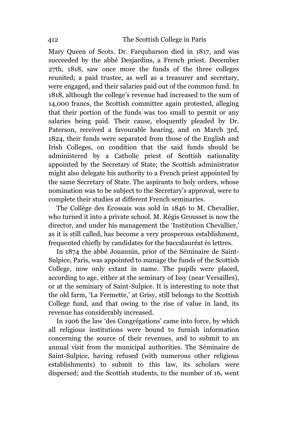Mary Queen of Scots. Dr. Farquharson died in 1817, and was succeeded by the abbé Desjardins, a French priest. December 27th, 1818, saw once more the funds of the three colleges reunited; a paid trustee, as well as a treasurer and secretary, were engaged, and their salaries paid out of the common fund. In 1818, although the college's revenue had increased to the sum of 14,000 francs, the Scottish committee again protested, alleging that their portion of the funds was too small to permit or any salaries being paid. Their cause, eloquently pleaded by Dr. Paterson, received a favourable hearing, and on March 3rd, 1824, their funds were separated from those of the English and Irish Colleges, on condition that the said funds should be administered by a Catholic priest of Scottish nationality appointed by the Secretary of State; the Scottish administrator might also delegate his authority to a French priest appointed by the same Secretary of State. The aspirants to holy orders, whose nomination was to be subject to the Secretary's approval, were to complete their studies at different French seminaries.

The Collège des Ecossais was sold in 1846 to M. Chevallier, who turned it into a private school. M. Régis Grousset is now the director, and under his management the 'Institution Chevallier,' as it is still called, has become a very prosperous establishment, frequented chiefly by candidates for the baccalauréat ès lettres.

In 1874 the abbé Jouannin, prior of the Séminaire de Saint-Sulpice, Paris, was appointed to manage the funds of the Scottish College, now only extant in name. The pupils were placed, according to age, either at the seminary of Issy (near Versailles), or at the seminary of Saint-Sulpice. It is interesting to note that the old farm, 'La Fermette,' at Grisy, still belongs to the Scottish College fund, and that owing to the rise of value in land, its revenue has considerably increased.

In 1906 the law 'des Congrégations' came into force, by which all religious institutions were bound to furnish information concerning the source of their revenues, and to submit to an annual visit from the municipal authorities. The Séminaire de Saint-Sulpice, having refused (with numerous other religious establishments) to submit to this law, its scholars were dispersed; and the Scottish students, to the number of 16, went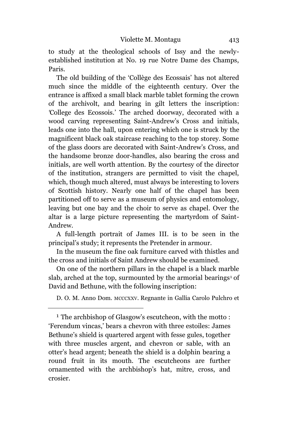to study at the theological schools of Issy and the newlyestablished institution at No. 19 rue Notre Dame des Champs, Paris.

The old building of the 'Collège des Ecossais' has not altered much since the middle of the eighteenth century. Over the entrance is affixed a small black marble tablet forming the crown of the archivolt, and bearing in gilt letters the inscription: *'*College des Ecossois.' The arched doorway, decorated with a wood carving representing Saint-Andrew's Cross and initials, leads one into the hall, upon entering which one is struck by the magnificent black oak staircase reaching to the top storey. Some of the glass doors are decorated with Saint-Andrew's *C*ross, and the handsome bronze door-handles, also bearing the cross and initials, are well worth attention. By the courtesy of the director of the institution, strangers are permitted to visit the chapel, which, though much altered, must always be interesting to lovers of Scottish history. Nearly one half of the chapel has been partitioned off to serve as a museum of physics and entomology, leaving but one bay and the choir to serve as chapel. Over the altar is a large picture representing the martyrdom of Saint-Andrew.

A full-length portrait of James III. is to be seen in the principal's study; it represents the Pretender in armour.

In the museum the fine oak furniture carved with thistles and the cross and initials of Saint Andrew should be examined.

On one of the northern pillars in the chapel is a black marble slab, arched at the top, surmounted by the armorial bearings<sup>1</sup> of David and Bethune, with the following inscription:

D. O. M. Anno Dom. MCCCXXV. Regnante in Gallia Carolo Pulchro et

<sup>1</sup> The archbishop of Glasgow's escutcheon, with the motto : 'Ferendum vincas,' bears a chevron with three estoiles: James Bethune's shield is quartered argent with fesse gules, together with three muscles argent, and chevron or sable, with an otter's head argent; beneath the shield is a dolphin bearing a round fruit in its mouth. The escutcheons are further ornamented with the archbishop's hat, mitre, cross, and crosier.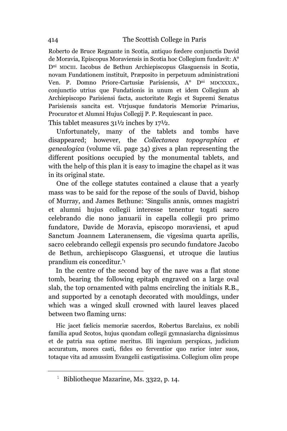Roberto de Bruce Regnante in Scotia, antiquo fœdere conjunctis David de Moravia, Episcopus Moraviensis in Scotia hoc Collegium fundavit: A° D<sup>ni</sup> MDCIII. Iacobus de Bethun Archiepiscopus Glasguensis in Scotia, novam Fundationem instituit, Præposito in perpetuum administrationi Ven. P. Domno Priore-Cartusiæ Parisiensis, A<sup>o</sup> D<sup>ni</sup> MDCXXXIX., conjunctio utrius que Fundationis in unum et idem Collegium ab Archiepiscopo Parisiensi facta, auctoritate Regis et Supremi Senatus Parisiensis sancita est. Vtrjusque fundatoris Memoriæ Primarius, Procurator et Alumni Hujus Collegij P. P. Requiescant in pace.

This tablet measures 31½ inches by 17½.

Unfortunately, many of the tablets and tombs have disappeared; however, the *Collectanea topographica et genealogica* (volume vii. page 34) gives a plan representing the different positions occupied by the monumental tablets, and with the help of this plan it is easy to imagine the chapel as it was in its original state.

One of the college statutes contained a clause that a yearly mass was to be said for the repose of the souls of David, bishop of Murray, and James Bethune: 'Singulis annis, omnes magistri et alumni hujus collegii interesse tenentur togati sacro celebrando die nono januarii in capella collegii pro primo fundatore, Davide de Moravia, episcopo moraviensi, et apud Sanctum Joannem Lateranensem, die vigesima quarta aprilis, sacro celebrando cellegii expensis pro secundo fundatore Jacobo de Bethun, archiepiscopo Glasguensi, et utroque die lautius prandium eis conceditur.' 1

In the centre of the second bay of the nave was a flat stone tomb, bearing the following epitaph engraved on a large oval slab, the top ornamented with palms encircling the initials R.B., and supported by a cenotaph decorated with mouldings, under which was a winged skull crowned with laurel leaves placed between two flaming urns:

Hic jacet fælicis memoriæ sacerdos, Robertus Barclaius, ex nobili familia apud Scotos, hujus quondam collegii gymnasiarcha dignissimus et de patria sua optime meritus. Illi ingenium perspicax, judicium accuratum, mores casti, fides eo ferventior quo rarior inter suos, totaque vita ad amussim Evangelii castigatissima. Collegium olim prope

L,

<sup>&</sup>lt;sup>1</sup> Bibliotheque Mazarine, Ms. 3322, p. 14.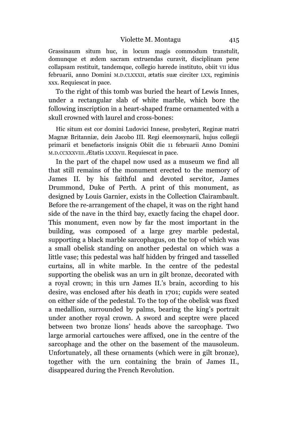Grassinaum situm huc, in locum magis commodum transtulit, domunque et ædem sacram extruendas curavit, disciplinam pene collapsam restituit, tandemque, collegio hærede instituto, obiit VII idus februarii, anno Domini M.D.CLXXXII, ætatis suæ circiter LXX, regiminis xxx. Requiescat in pace.

To the right of this tomb was buried the heart of Lewis Innes, under a rectangular slab of white marble, which bore the following inscription in a heart-shaped frame ornamented with a skull crowned with laurel and cross-bones:

Hic situm est cor domini Ludovici Innese, presbyteri, Reginæ matri Magnæ Britanniæ, dein Jacobo III. Regi eleemosynarii, hujus collegii primarii et benefactoris insignis Obiit die 11 februarii Anno Domini M.D.CCXXXVIII. Ætatis LXXXVII. Requiescat in pace.

In the part of the chapel now used as a museum we find all that still remains of the monument erected to the memory of James II. by his faithful and devoted servitor, James Drummond, Duke of Perth. A print of this monument, as designed by Louis Garnier, exists in the Collection Clairambault. Before the re-arrangement of the chapel, it was on the right hand side of the nave in the third bay, exactly facing the chapel door. This monument, even now by far the most important in the building, was composed of a large grey marble pedestal, supporting a black marble sarcophagus, on the top of which was a small obelisk standing on another pedestal on which was a little vase; this pedestal was half hidden by fringed and tasselled curtains, all in white marble. In the centre of the pedestal supporting the obelisk was an urn in gilt bronze, decorated with a royal crown; in this urn James II.'s brain, according to his desire, was enclosed after his death in 1701; cupids were seated on either side of the pedestal. To the top of the obelisk was fixed a medallion, surrounded by palms, bearing the king's portrait under another royal crown. A sword and sceptre were placed between two bronze lions' heads above the sarcophage. Two large armorial cartouches were affixed, one in the centre of the sarcophage and the other on the basement of the mausoleum. Unfortunately, all these ornaments (which were in gilt bronze), together with the urn containing the brain of James II., disappeared during the French Revolution.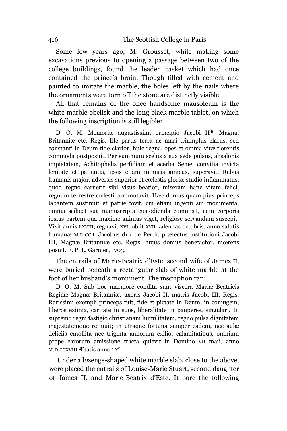Some few years ago, M. Grousset, while making some excavations previous to opening a passage between two of the college buildings, found the leaden casket which had once contained the prince's brain. Though filled with cement and painted to imitate the marble, the holes left by the nails where the ornaments were torn off the stone are distinctly visible.

All that remains of the once handsome mausoleum is the white marble obelisk and the long black marble tablet, on which the following inscription is still legible:

D. O. M. Memoriæ augustissimi principio Jacobi II<sup>di</sup>, Magna; Britanniæ etc. Regis. Ille partis terra ac mari triumphis clarus, sed c*o*nstanti in Deum fide clarior, huic regna, opes et omnia vitæ florentis commoda postposuit. Per summum scelus a sua sede pulsus, absalonis impietatem, Achitophelis perfidiam et acerba Semei convitia invicta lenitate et patientia, ipsis etiam inimicis amicus, superavit. Rebus humanis major, adversis superior et cœlestis gloriæ studio inflammatus, quod regno caruerit sibi visus beatior, miseram hanc vitam felici, regnum terrestre cœlesti commutavit. Hæc domus quam pius princeps labantem sustinuit et patrie fovit, cui etiam ingenii sui monimenta, omnia scilicet sua manuscripta custodienda commisit, eam corporis ipsius partem qua maxime animus viget, religiose servandam suscepit. Vixit annis LXVIII, regnavit XVI, obiit XVII kalendas octobris, anno salutis humanæ M.D.CC.I. Jacobus dux de Perth, præfectus institutioni Jacobi III, Magnæ Britanniæ etc. Regis, hujus domus benefactor, mœrens posuit. F. P. L. Garnier, 1703.

The entrails of Marie-Beatrix d'Este, second wife of James II, were buried beneath a rectangular slab of white marble at the foot of her husband's monument. The inscription ran:

D. O. M. Sub hoc marmore condita sunt viscera Mariæ Beatricis Reginæ Magnæ Britanniæ, uxoris Jacobi II, matris Jacobi III, Regis. Rarissimi exempli princeps fuit, fide et pictate in Deum, in conjugem, liberos eximia, caritate in suos, liberalitate in pauperes, singulari. In suprem*o* regni fastigio christianam humilitatem, regno pulsa dignitatem majestatemque retinuit; in utraque fortuna semper eadem, nec aulæ deliciis emollita nec triginta annorum exilio, calamitatibus, omnium prope carorum amissione fracta quievit in Domino VII maii, anno M.D.CCXVIII Ætatis anno LX°.

Under a l*o*zenge-shaped white marble slab, close to the above, were placed the entrails of Louise-Marie Stuart, second daughter of James II. and Marie-Beatrix d'Este. It bore the following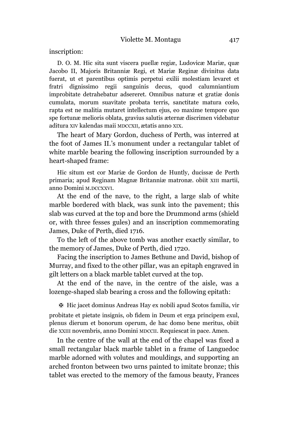inscription:

D. O. M. Hic sita sunt viscera puellæ regiæ, Ludovicæ Mariæ, quæ Jacobo II, Majoris Britanniæ Regi, et Mariæ Reginæ divinitus data fuerat, ut et parentibus optimis perpetui exilii molestiam levaret et fratri dignissimo regii sanguinis decus, quod calumniantium improbitate detrahebatur adsereret. Omnibus naturæ et gratiæ donis cumulata, morum suavitate probata terris, sanctitate matura cœlo, rapta est ne malitia mutaret intellectum ejus, eo maxime tempore quo spe fortunæ melioris oblata, gravius salutis æternæ discrimen videbatur aditura XIV kalendas maii MDCCXII, ætatis anno XIX.

The heart of Mary Gordon, duchess of Perth, was interred at the foot of James II.'s monument under a rectangular tablet of white marble bearing the following inscription surrounded by a heart-shaped frame:

Hic situm est cor Mariæ de Gordon de Huntly, ducissæ de Perth primaria; apud Reginam Magnæ Britanniæ matronæ. obiit XIII martii, anno Domini M.DCCXXVI.

At the end of the nave, to the right, a large slab of white marble bordered with black, was sunk into the pavement; this slab was curved at the top and bore the Drummond arms (shield or, with three fesses gules) and an inscription commemorating James, Duke of Perth, died 1716.

To the left of the above tomb was another exactly similar, to the memory of James, Duke of Perth, died 1720.

Facing the inscription to James Bethune and David, bishop of Murray, and fixed to the other pillar, was an epitaph engraved in gilt letters on a black marble tablet curved at the top.

At the end of the nave, in the centre of the aisle, was a lozenge-shaped slab bearing a cross and the following epitath:

✠ Hic jacet dominus Andreas Hay ex nobili apud Scotos familia, vir probitate et pietate insignis, ob fidem in Deum et erga principem exul, plenus dierum et bonorum operum, de hac domo bene meritus, obiit die XXIII novembris, anno Domini MDCCII. Requiescat in pace. Amen.

In the centre of the wall at the end of the chapel was fixed a small rectangular black marble tablet in a frame of Languedoc marble adorned with volutes and mouldings, and supporting an arched fronton between two urns painted to imitate bronze; this tablet was erected to the memory of the famous beauty, Frances